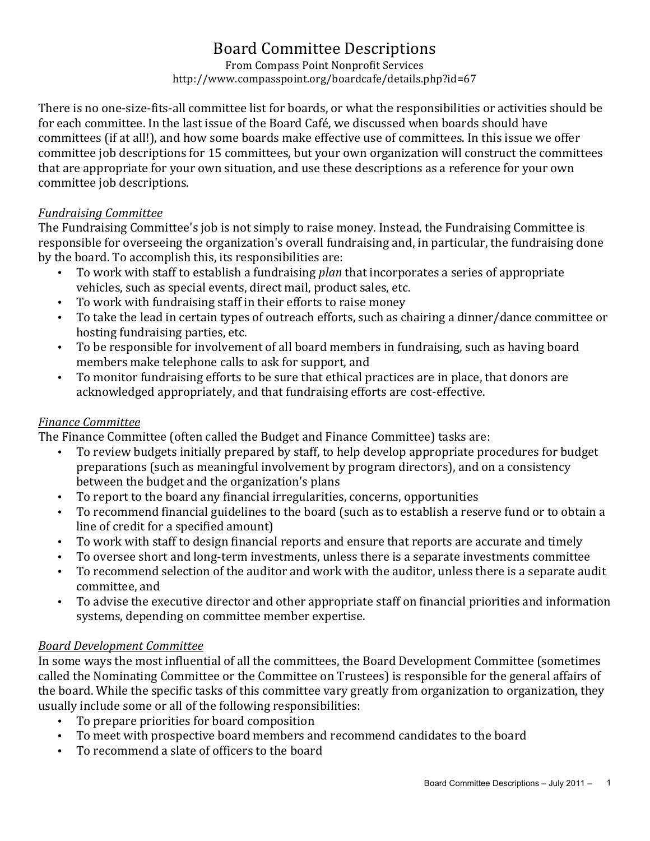# Board Committee Descriptions

From Compass Point Nonprofit Services http://www.compasspoint.org/boardcafe/details.php?id=67

There is no one-size-fits-all committee list for boards, or what the responsibilities or activities should be for each committee. In the last issue of the Board Café, we discussed when boards should have committees (if at all!), and how some boards make effective use of committees. In this issue we offer committee job descriptions for 15 committees, but your own organization will construct the committees that are appropriate for your own situation, and use these descriptions as a reference for your own committee job descriptions.

#### *Fundraising Committee*

The Fundraising Committee's job is not simply to raise money. Instead, the Fundraising Committee is responsible for overseeing the organization's overall fundraising and, in particular, the fundraising done by the board. To accomplish this, its responsibilities are:

- To work with staff to establish a fundraising *plan* that incorporates a series of appropriate vehicles, such as special events, direct mail, product sales, etc.
- To work with fundraising staff in their efforts to raise money
- To take the lead in certain types of outreach efforts, such as chairing a dinner/dance committee or hosting fundraising parties, etc.
- To be responsible for involvement of all board members in fundraising, such as having board members make telephone calls to ask for support, and
- To monitor fundraising efforts to be sure that ethical practices are in place, that donors are acknowledged appropriately, and that fundraising efforts are cost-effective.

### *Finance Committee*

The Finance Committee (often called the Budget and Finance Committee) tasks are:

- To review budgets initially prepared by staff, to help develop appropriate procedures for budget preparations (such as meaningful involvement by program directors), and on a consistency between the budget and the organization's plans
- To report to the board any financial irregularities, concerns, opportunities
- To recommend financial guidelines to the board (such as to establish a reserve fund or to obtain a line of credit for a specified amount)
- To work with staff to design financial reports and ensure that reports are accurate and timely
- To oversee short and long-term investments, unless there is a separate investments committee
- To recommend selection of the auditor and work with the auditor, unless there is a separate audit committee, and
- To advise the executive director and other appropriate staff on financial priorities and information systems, depending on committee member expertise.

### *Board Development Committee*

In some ways the most influential of all the committees, the Board Development Committee (sometimes called the Nominating Committee or the Committee on Trustees) is responsible for the general affairs of the board. While the specific tasks of this committee vary greatly from organization to organization, they usually include some or all of the following responsibilities:

- To prepare priorities for board composition
- To meet with prospective board members and recommend candidates to the board
- To recommend a slate of officers to the board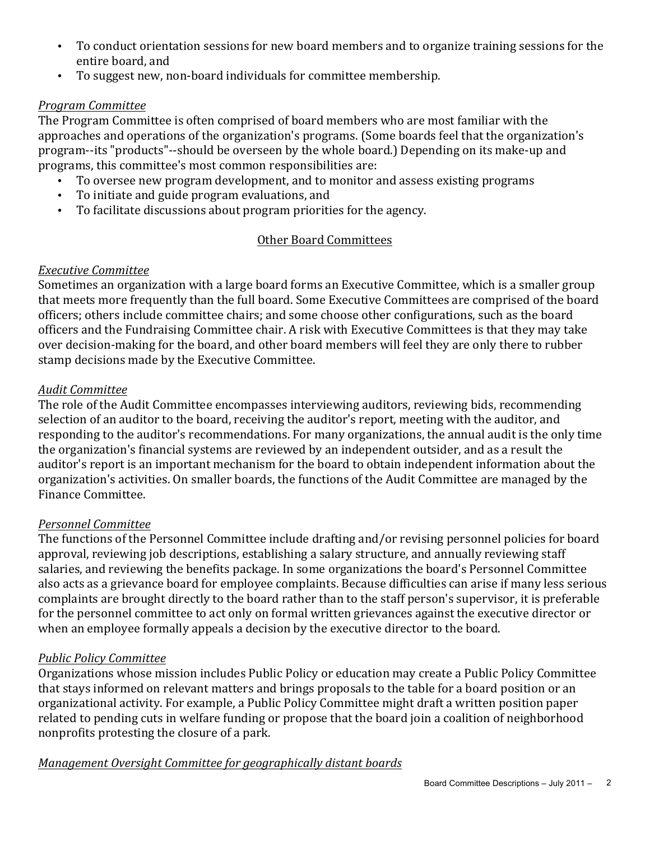- To conduct orientation sessions for new board members and to organize training sessions for the entire board, and
- To suggest new, non-board individuals for committee membership.

### *Program Committee*

The Program Committee is often comprised of board members who are most familiar with the approaches and operations of the organization's programs. (Some boards feel that the organization's program--its "products"--should be overseen by the whole board.) Depending on its make-up and programs, this committee's most common responsibilities are:

- To oversee new program development, and to monitor and assess existing programs
- To initiate and guide program evaluations, and
- To facilitate discussions about program priorities for the agency.

# Other Board Committees

## *Executive Committee*

Sometimes an organization with a large board forms an Executive Committee, which is a smaller group that meets more frequently than the full board. Some Executive Committees are comprised of the board officers; others include committee chairs; and some choose other configurations, such as the board officers and the Fundraising Committee chair. A risk with Executive Committees is that they may take over decision-making for the board, and other board members will feel they are only there to rubber stamp decisions made by the Executive Committee.

## *Audit Committee*

The role of the Audit Committee encompasses interviewing auditors, reviewing bids, recommending selection of an auditor to the board, receiving the auditor's report, meeting with the auditor, and responding to the auditor's recommendations. For many organizations, the annual audit is the only time the organization's financial systems are reviewed by an independent outsider, and as a result the auditor's report is an important mechanism for the board to obtain independent information about the organization's activities. On smaller boards, the functions of the Audit Committee are managed by the Finance Committee.

# *Personnel Committee*

The functions of the Personnel Committee include drafting and/or revising personnel policies for board approval, reviewing job descriptions, establishing a salary structure, and annually reviewing staff salaries, and reviewing the benefits package. In some organizations the board's Personnel Committee also acts as a grievance board for employee complaints. Because difficulties can arise if many less serious complaints are brought directly to the board rather than to the staff person's supervisor, it is preferable for the personnel committee to act only on formal written grievances against the executive director or when an employee formally appeals a decision by the executive director to the board.

# *Public Policy Committee*

Organizations whose mission includes Public Policy or education may create a Public Policy Committee that stays informed on relevant matters and brings proposals to the table for a board position or an organizational activity. For example, a Public Policy Committee might draft a written position paper related to pending cuts in welfare funding or propose that the board join a coalition of neighborhood nonprofits protesting the closure of a park.

### **Management Oversight Committee for geographically distant boards**